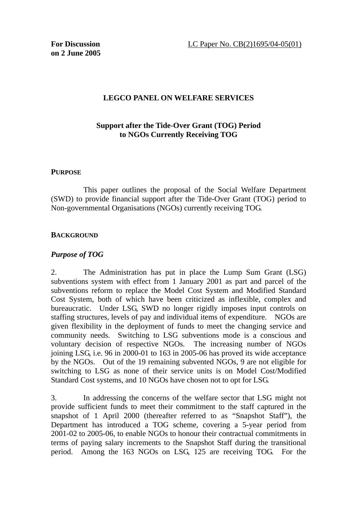### **LEGCO PANEL ON WELFARE SERVICES**

## **Support after the Tide-Over Grant (TOG) Period to NGOs Currently Receiving TOG**

#### **PURPOSE**

This paper outlines the proposal of the Social Welfare Department (SWD) to provide financial support after the Tide-Over Grant (TOG) period to Non-governmental Organisations (NGOs) currently receiving TOG.

#### **BACKGROUND**

### *Purpose of TOG*

2. The Administration has put in place the Lump Sum Grant (LSG) subventions system with effect from 1 January 2001 as part and parcel of the subventions reform to replace the Model Cost System and Modified Standard Cost System, both of which have been criticized as inflexible, complex and bureaucratic. Under LSG, SWD no longer rigidly imposes input controls on staffing structures, levels of pay and individual items of expenditure. NGOs are given flexibility in the deployment of funds to meet the changing service and community needs. Switching to LSG subventions mode is a conscious and voluntary decision of respective NGOs. The increasing number of NGOs joining LSG, i.e. 96 in 2000-01 to 163 in 2005-06 has proved its wide acceptance by the NGOs. Out of the 19 remaining subvented NGOs, 9 are not eligible for switching to LSG as none of their service units is on Model Cost/Modified Standard Cost systems, and 10 NGOs have chosen not to opt for LSG.

3. In addressing the concerns of the welfare sector that LSG might not provide sufficient funds to meet their commitment to the staff captured in the snapshot of 1 April 2000 (thereafter referred to as "Snapshot Staff"), the Department has introduced a TOG scheme, covering a 5-year period from 2001-02 to 2005-06, to enable NGOs to honour their contractual commitments in terms of paying salary increments to the Snapshot Staff during the transitional period. Among the 163 NGOs on LSG, 125 are receiving TOG. For the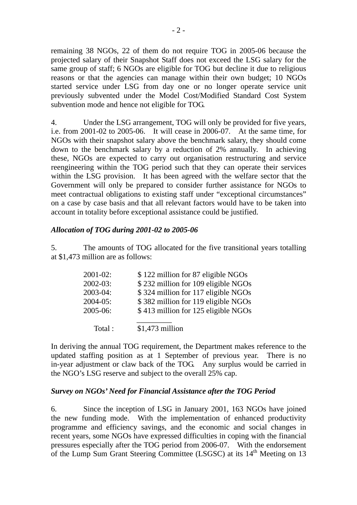remaining 38 NGOs, 22 of them do not require TOG in 2005-06 because the projected salary of their Snapshot Staff does not exceed the LSG salary for the same group of staff; 6 NGOs are eligible for TOG but decline it due to religious reasons or that the agencies can manage within their own budget; 10 NGOs started service under LSG from day one or no longer operate service unit previously subvented under the Model Cost/Modified Standard Cost System subvention mode and hence not eligible for TOG.

4. Under the LSG arrangement, TOG will only be provided for five years, i.e. from 2001-02 to 2005-06. It will cease in 2006-07. At the same time, for NGOs with their snapshot salary above the benchmark salary, they should come down to the benchmark salary by a reduction of 2% annually. In achieving these, NGOs are expected to carry out organisation restructuring and service reengineering within the TOG period such that they can operate their services within the LSG provision. It has been agreed with the welfare sector that the Government will only be prepared to consider further assistance for NGOs to meet contractual obligations to existing staff under "exceptional circumstances" on a case by case basis and that all relevant factors would have to be taken into account in totality before exceptional assistance could be justified.

### *Allocation of TOG during 2001-02 to 2005-06*

5. The amounts of TOG allocated for the five transitional years totalling at \$1,473 million are as follows:

| $2001 - 02$ : | \$122 million for 87 eligible NGOs  |
|---------------|-------------------------------------|
| $2002 - 03$ : | \$232 million for 109 eligible NGOs |
| 2003-04:      | \$324 million for 117 eligible NGOs |
| $2004-05$ :   | \$382 million for 119 eligible NGOs |
| 2005-06:      | \$413 million for 125 eligible NGOs |
|               |                                     |
| Total:        | $$1,473$ million                    |

In deriving the annual TOG requirement, the Department makes reference to the updated staffing position as at 1 September of previous year. There is no in-year adjustment or claw back of the TOG. Any surplus would be carried in the NGO's LSG reserve and subject to the overall 25% cap.

### *Survey on NGOs' Need for Financial Assistance after the TOG Period*

6. Since the inception of LSG in January 2001, 163 NGOs have joined the new funding mode. With the implementation of enhanced productivity programme and efficiency savings, and the economic and social changes in recent years, some NGOs have expressed difficulties in coping with the financial pressures especially after the TOG period from 2006-07. With the endorsement of the Lump Sum Grant Steering Committee (LSGSC) at its  $14<sup>th</sup>$  Meeting on 13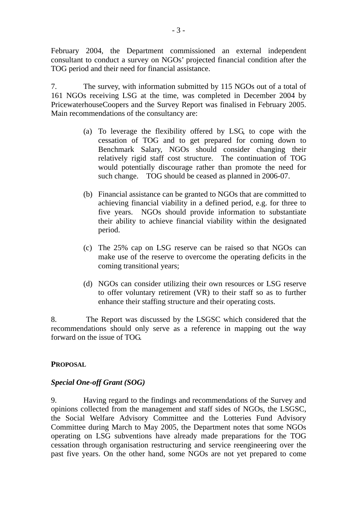February 2004, the Department commissioned an external independent consultant to conduct a survey on NGOs' projected financial condition after the TOG period and their need for financial assistance.

7. The survey, with information submitted by 115 NGOs out of a total of 161 NGOs receiving LSG at the time, was completed in December 2004 by PricewaterhouseCoopers and the Survey Report was finalised in February 2005. Main recommendations of the consultancy are:

- (a) To leverage the flexibility offered by LSG, to cope with the cessation of TOG and to get prepared for coming down to Benchmark Salary, NGOs should consider changing their relatively rigid staff cost structure. The continuation of TOG would potentially discourage rather than promote the need for such change. TOG should be ceased as planned in 2006-07.
- (b) Financial assistance can be granted to NGOs that are committed to achieving financial viability in a defined period, e.g. for three to five years. NGOs should provide information to substantiate their ability to achieve financial viability within the designated period.
- (c) The 25% cap on LSG reserve can be raised so that NGOs can make use of the reserve to overcome the operating deficits in the coming transitional years;
- (d) NGOs can consider utilizing their own resources or LSG reserve to offer voluntary retirement (VR) to their staff so as to further enhance their staffing structure and their operating costs.

8. The Report was discussed by the LSGSC which considered that the recommendations should only serve as a reference in mapping out the way forward on the issue of TOG.

### **PROPOSAL**

# *Special One-off Grant (SOG)*

9. Having regard to the findings and recommendations of the Survey and opinions collected from the management and staff sides of NGOs, the LSGSC, the Social Welfare Advisory Committee and the Lotteries Fund Advisory Committee during March to May 2005, the Department notes that some NGOs operating on LSG subventions have already made preparations for the TOG cessation through organisation restructuring and service reengineering over the past five years. On the other hand, some NGOs are not yet prepared to come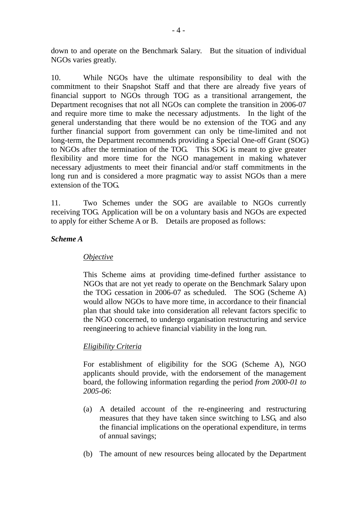down to and operate on the Benchmark Salary. But the situation of individual NGOs varies greatly.

10. While NGOs have the ultimate responsibility to deal with the commitment to their Snapshot Staff and that there are already five years of financial support to NGOs through TOG as a transitional arrangement, the Department recognises that not all NGOs can complete the transition in 2006-07 and require more time to make the necessary adjustments. In the light of the general understanding that there would be no extension of the TOG and any further financial support from government can only be time-limited and not long-term, the Department recommends providing a Special One-off Grant (SOG) to NGOs after the termination of the TOG. This SOG is meant to give greater flexibility and more time for the NGO management in making whatever necessary adjustments to meet their financial and/or staff commitments in the long run and is considered a more pragmatic way to assist NGOs than a mere extension of the TOG.

11. Two Schemes under the SOG are available to NGOs currently receiving TOG. Application will be on a voluntary basis and NGOs are expected to apply for either Scheme A or B. Details are proposed as follows:

### *Scheme A*

### *Objective*

This Scheme aims at providing time-defined further assistance to NGOs that are not yet ready to operate on the Benchmark Salary upon the TOG cessation in 2006-07 as scheduled. The SOG (Scheme A) would allow NGOs to have more time, in accordance to their financial plan that should take into consideration all relevant factors specific to the NGO concerned, to undergo organisation restructuring and service reengineering to achieve financial viability in the long run.

### *Eligibility Criteria*

For establishment of eligibility for the SOG (Scheme A), NGO applicants should provide, with the endorsement of the management board, the following information regarding the period *from 2000-01 to 2005-06*:

- (a) A detailed account of the re-engineering and restructuring measures that they have taken since switching to LSG, and also the financial implications on the operational expenditure, in terms of annual savings;
- (b) The amount of new resources being allocated by the Department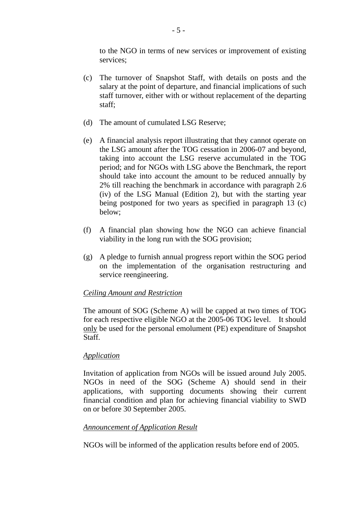to the NGO in terms of new services or improvement of existing services;

- (c) The turnover of Snapshot Staff, with details on posts and the salary at the point of departure, and financial implications of such staff turnover, either with or without replacement of the departing staff;
- (d) The amount of cumulated LSG Reserve;
- (e) A financial analysis report illustrating that they cannot operate on the LSG amount after the TOG cessation in 2006-07 and beyond, taking into account the LSG reserve accumulated in the TOG period; and for NGOs with LSG above the Benchmark, the report should take into account the amount to be reduced annually by 2% till reaching the benchmark in accordance with paragraph 2.6 (iv) of the LSG Manual (Edition 2), but with the starting year being postponed for two years as specified in paragraph 13 (c) below;
- (f) A financial plan showing how the NGO can achieve financial viability in the long run with the SOG provision;
- (g) A pledge to furnish annual progress report within the SOG period on the implementation of the organisation restructuring and service reengineering.

#### *Ceiling Amount and Restriction*

The amount of SOG (Scheme A) will be capped at two times of TOG for each respective eligible NGO at the 2005-06 TOG level. It should only be used for the personal emolument (PE) expenditure of Snapshot Staff.

#### *Application*

Invitation of application from NGOs will be issued around July 2005. NGOs in need of the SOG (Scheme A) should send in their applications, with supporting documents showing their current financial condition and plan for achieving financial viability to SWD on or before 30 September 2005.

#### *Announcement of Application Result*

NGOs will be informed of the application results before end of 2005.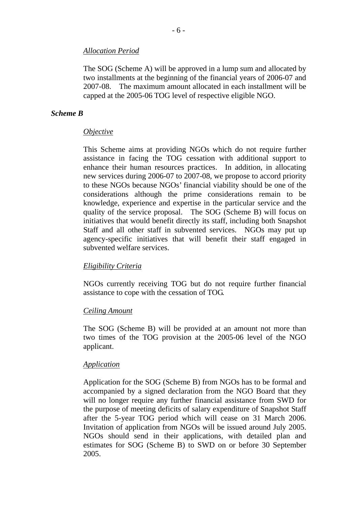#### *Allocation Period*

The SOG (Scheme A) will be approved in a lump sum and allocated by two installments at the beginning of the financial years of 2006-07 and 2007-08. The maximum amount allocated in each installment will be capped at the 2005-06 TOG level of respective eligible NGO.

#### *Scheme B*

#### *Objective*

This Scheme aims at providing NGOs which do not require further assistance in facing the TOG cessation with additional support to enhance their human resources practices. In addition, in allocating new services during 2006-07 to 2007-08, we propose to accord priority to these NGOs because NGOs' financial viability should be one of the considerations although the prime considerations remain to be knowledge, experience and expertise in the particular service and the quality of the service proposal. The SOG (Scheme B) will focus on initiatives that would benefit directly its staff, including both Snapshot Staff and all other staff in subvented services. NGOs may put up agency-specific initiatives that will benefit their staff engaged in subvented welfare services.

#### *Eligibility Criteria*

NGOs currently receiving TOG but do not require further financial assistance to cope with the cessation of TOG.

#### *Ceiling Amount*

The SOG (Scheme B) will be provided at an amount not more than two times of the TOG provision at the 2005-06 level of the NGO applicant.

#### *Application*

Application for the SOG (Scheme B) from NGOs has to be formal and accompanied by a signed declaration from the NGO Board that they will no longer require any further financial assistance from SWD for the purpose of meeting deficits of salary expenditure of Snapshot Staff after the 5-year TOG period which will cease on 31 March 2006. Invitation of application from NGOs will be issued around July 2005. NGOs should send in their applications, with detailed plan and estimates for SOG (Scheme B) to SWD on or before 30 September 2005.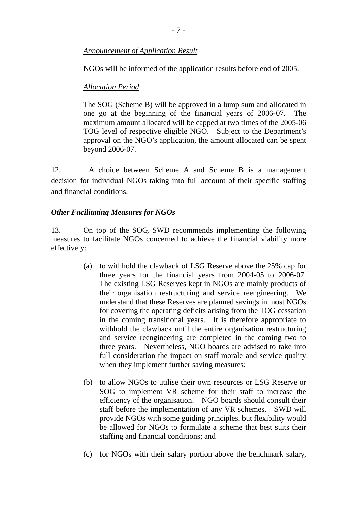## *Announcement of Application Result*

NGOs will be informed of the application results before end of 2005.

# *Allocation Period*

The SOG (Scheme B) will be approved in a lump sum and allocated in one go at the beginning of the financial years of 2006-07. The maximum amount allocated will be capped at two times of the 2005-06 TOG level of respective eligible NGO. Subject to the Department's approval on the NGO's application, the amount allocated can be spent beyond 2006-07.

12. A choice between Scheme A and Scheme B is a management decision for individual NGOs taking into full account of their specific staffing and financial conditions.

## *Other Facilitating Measures for NGOs*

13. On top of the SOG, SWD recommends implementing the following measures to facilitate NGOs concerned to achieve the financial viability more effectively:

- (a) to withhold the clawback of LSG Reserve above the 25% cap for three years for the financial years from 2004-05 to 2006-07. The existing LSG Reserves kept in NGOs are mainly products of their organisation restructuring and service reengineering. We understand that these Reserves are planned savings in most NGOs for covering the operating deficits arising from the TOG cessation in the coming transitional years. It is therefore appropriate to withhold the clawback until the entire organisation restructuring and service reengineering are completed in the coming two to three years. Nevertheless, NGO boards are advised to take into full consideration the impact on staff morale and service quality when they implement further saving measures;
- (b) to allow NGOs to utilise their own resources or LSG Reserve or SOG to implement VR scheme for their staff to increase the efficiency of the organisation. NGO boards should consult their staff before the implementation of any VR schemes. SWD will provide NGOs with some guiding principles, but flexibility would be allowed for NGOs to formulate a scheme that best suits their staffing and financial conditions; and
- (c) for NGOs with their salary portion above the benchmark salary,